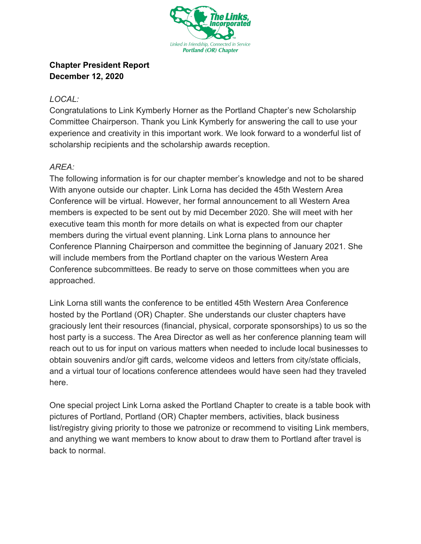

## **Chapter President Report December 12, 2020**

## *LOCAL:*

Congratulations to Link Kymberly Horner as the Portland Chapter's new Scholarship Committee Chairperson. Thank you Link Kymberly for answering the call to use your experience and creativity in this important work. We look forward to a wonderful list of scholarship recipients and the scholarship awards reception.

## *AREA:*

The following information is for our chapter member's knowledge and not to be shared With anyone outside our chapter. Link Lorna has decided the 45th Western Area Conference will be virtual. However, her formal announcement to all Western Area members is expected to be sent out by mid December 2020. She will meet with her executive team this month for more details on what is expected from our chapter members during the virtual event planning. Link Lorna plans to announce her Conference Planning Chairperson and committee the beginning of January 2021. She will include members from the Portland chapter on the various Western Area Conference subcommittees. Be ready to serve on those committees when you are approached.

Link Lorna still wants the conference to be entitled 45th Western Area Conference hosted by the Portland (OR) Chapter. She understands our cluster chapters have graciously lent their resources (financial, physical, corporate sponsorships) to us so the host party is a success. The Area Director as well as her conference planning team will reach out to us for input on various matters when needed to include local businesses to obtain souvenirs and/or gift cards, welcome videos and letters from city/state officials, and a virtual tour of locations conference attendees would have seen had they traveled here.

One special project Link Lorna asked the Portland Chapter to create is a table book with pictures of Portland, Portland (OR) Chapter members, activities, black business list/registry giving priority to those we patronize or recommend to visiting Link members, and anything we want members to know about to draw them to Portland after travel is back to normal.